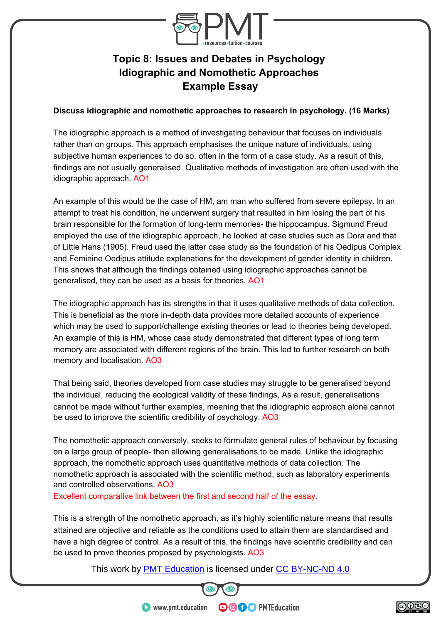

## **Topic 8: Issues and Debates in Psychology Idiographic and Nomothetic Approaches Example Essay**

## **Discuss idiographic and nomothetic approaches to research in psychology. (16 Marks)**

The idiographic approach is a method of investigating behaviour that focuses on individuals rather than on groups. This approach emphasises the unique nature of individuals, using subjective human experiences to do so, often in the form of a case study. As a result of this, findings are not usually generalised. Qualitative methods of investigation are often used with the idiographic approach. AO1

An example of this would be the case of HM, am man who suffered from severe epilepsy. In an attempt to treat his condition, he underwent surgery that resulted in him losing the part of his brain responsible for the formation of long-term memories- the hippocampus. Sigmund Freud employed the use of the idiographic approach, he looked at case studies such as Dora and that of Little Hans (1905). Freud used the latter case study as the foundation of his Oedipus Complex and Feminine Oedipus attitude explanations for the development of gender identity in children. This shows that although the findings obtained using idiographic approaches cannot be generalised, they can be used as a basis for theories. AO1

The idiographic approach has its strengths in that it uses qualitative methods of data collection. This is beneficial as the more in-depth data provides more detailed accounts of experience which may be used to support/challenge existing theories or lead to theories being developed. An example of this is HM, whose case study demonstrated that different types of long term memory are associated with different regions of the brain. This led to further research on both memory and localisation. AO3

That being said, theories developed from case studies may struggle to be generalised beyond the individual, reducing the ecological validity of these findings, As a result, generalisations cannot be made without further examples, meaning that the idiographic approach alone cannot be used to improve the scientific credibility of psychology. AO3

The nomothetic approach conversely, seeks to formulate general rules of behaviour by focusing on a large group of people- then allowing generalisations to be made. Unlike the idiographic approach, the nomothetic approach uses quantitative methods of data collection. The nomothetic approach is associated with the scientific method, such as laboratory experiments and controlled observations. AO3

Excellent comparative link between the first and second half of the essay.

This is a strength of the nomothetic approach, as it's highly scientific nature means that results attained are objective and reliable as the conditions used to attain them are standardised and have a high degree of control. As a result of this, the findings have scientific credibility and can be used to prove theories proposed by psychologists. AO3

This work by **PMT Education** is licensed under CC BY-NC-ND 4.0



**OOOO** PMTEducation